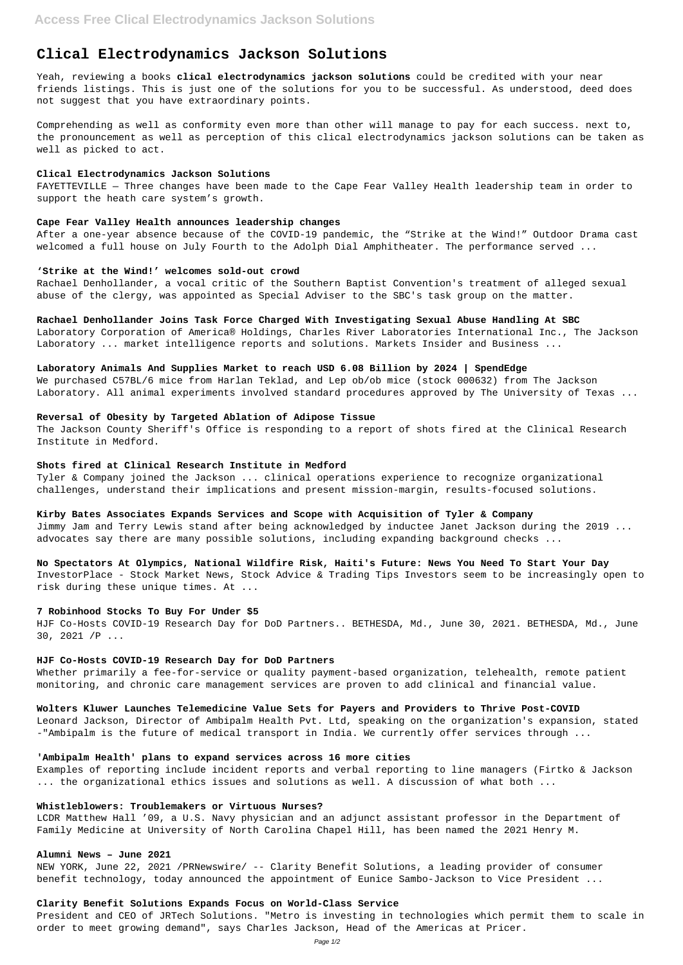# **Clical Electrodynamics Jackson Solutions**

Yeah, reviewing a books **clical electrodynamics jackson solutions** could be credited with your near friends listings. This is just one of the solutions for you to be successful. As understood, deed does not suggest that you have extraordinary points.

Comprehending as well as conformity even more than other will manage to pay for each success. next to, the pronouncement as well as perception of this clical electrodynamics jackson solutions can be taken as well as picked to act.

## **Clical Electrodynamics Jackson Solutions**

FAYETTEVILLE — Three changes have been made to the Cape Fear Valley Health leadership team in order to support the heath care system's growth.

#### **Cape Fear Valley Health announces leadership changes**

After a one-year absence because of the COVID-19 pandemic, the "Strike at the Wind!" Outdoor Drama cast welcomed a full house on July Fourth to the Adolph Dial Amphitheater. The performance served ...

#### **'Strike at the Wind!' welcomes sold-out crowd**

Rachael Denhollander, a vocal critic of the Southern Baptist Convention's treatment of alleged sexual abuse of the clergy, was appointed as Special Adviser to the SBC's task group on the matter.

## **Rachael Denhollander Joins Task Force Charged With Investigating Sexual Abuse Handling At SBC**

Laboratory Corporation of America® Holdings, Charles River Laboratories International Inc., The Jackson Laboratory ... market intelligence reports and solutions. Markets Insider and Business ...

## **Laboratory Animals And Supplies Market to reach USD 6.08 Billion by 2024 | SpendEdge**

Whether primarily a fee-for-service or quality payment-based organization, telehealth, remote patient monitoring, and chronic care management services are proven to add clinical and financial value.

We purchased C57BL/6 mice from Harlan Teklad, and Lep ob/ob mice (stock 000632) from The Jackson Laboratory. All animal experiments involved standard procedures approved by The University of Texas ...

## **Reversal of Obesity by Targeted Ablation of Adipose Tissue**

The Jackson County Sheriff's Office is responding to a report of shots fired at the Clinical Research Institute in Medford.

## **Shots fired at Clinical Research Institute in Medford**

Tyler & Company joined the Jackson ... clinical operations experience to recognize organizational challenges, understand their implications and present mission-margin, results-focused solutions.

## **Kirby Bates Associates Expands Services and Scope with Acquisition of Tyler & Company**

Jimmy Jam and Terry Lewis stand after being acknowledged by inductee Janet Jackson during the 2019 ... advocates say there are many possible solutions, including expanding background checks ...

## **No Spectators At Olympics, National Wildfire Risk, Haiti's Future: News You Need To Start Your Day**

InvestorPlace - Stock Market News, Stock Advice & Trading Tips Investors seem to be increasingly open to risk during these unique times. At ...

#### **7 Robinhood Stocks To Buy For Under \$5**

HJF Co-Hosts COVID-19 Research Day for DoD Partners.. BETHESDA, Md., June 30, 2021. BETHESDA, Md., June 30, 2021 /P ...

## **HJF Co-Hosts COVID-19 Research Day for DoD Partners**

## **Wolters Kluwer Launches Telemedicine Value Sets for Payers and Providers to Thrive Post-COVID**

Leonard Jackson, Director of Ambipalm Health Pvt. Ltd, speaking on the organization's expansion, stated

-"Ambipalm is the future of medical transport in India. We currently offer services through ...

#### **'Ambipalm Health' plans to expand services across 16 more cities**

Examples of reporting include incident reports and verbal reporting to line managers (Firtko & Jackson ... the organizational ethics issues and solutions as well. A discussion of what both ...

#### **Whistleblowers: Troublemakers or Virtuous Nurses?**

LCDR Matthew Hall '09, a U.S. Navy physician and an adjunct assistant professor in the Department of Family Medicine at University of North Carolina Chapel Hill, has been named the 2021 Henry M.

#### **Alumni News – June 2021**

NEW YORK, June 22, 2021 /PRNewswire/ -- Clarity Benefit Solutions, a leading provider of consumer benefit technology, today announced the appointment of Eunice Sambo-Jackson to Vice President ...

#### **Clarity Benefit Solutions Expands Focus on World-Class Service**

President and CEO of JRTech Solutions. "Metro is investing in technologies which permit them to scale in order to meet growing demand", says Charles Jackson, Head of the Americas at Pricer.